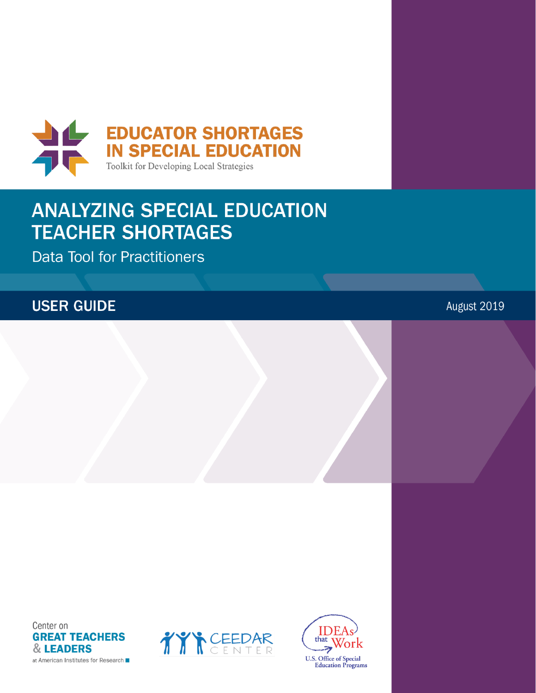

# **ANALYZING SPECIAL EDUCATION TEACHER SHORTAGES**

**Data Tool for Practitioners** 

## **USER GUIDE**

August 2019





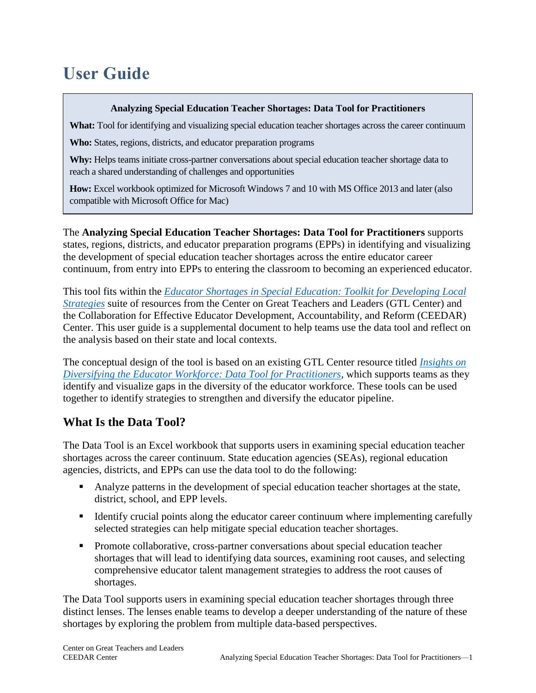## **User Guide**

#### **Analyzing Special Education Teacher Shortages: Data Tool for Practitioners**

What: Tool for identifying and visualizing special education teacher shortages across the career continuum

**Who:** States, regions, districts, and educator preparation programs

**Why:** Helps teams initiate cross-partner conversations about special education teacher shortage data to reach a shared understanding of challenges and opportunities

**How:** Excel workbook optimized for Microsoft Windows 7 and 10 with MS Office 2013 and later (also compatible with Microsoft Office for Mac)

The **Analyzing Special Education Teacher Shortages: Data Tool for Practitioners** supports states, regions, districts, and educator preparation programs (EPPs) in identifying and visualizing the development of special education teacher shortages across the entire educator career continuum, from entry into EPPs to entering the classroom to becoming an experienced educator.

This tool fits within the *[Educator Shortages in Special Education: Toolkit for Developing Local](https://gtlcenter.org/technical-assistance/toolkits/educator-shortages-special-education)  [Strategies](https://gtlcenter.org/technical-assistance/toolkits/educator-shortages-special-education)* suite of resources from the Center on Great Teachers and Leaders (GTL Center) and the Collaboration for Effective Educator Development, Accountability, and Reform (CEEDAR) Center. This user guide is a supplemental document to help teams use the data tool and reflect on the analysis based on their state and local contexts.

The conceptual design of the tool is based on an existing GTL Center resource titled *[Insights on](https://gtlcenter.org/technical-assistance/toolkits/data-tool-diversifying-the-educator-workforce)  [Diversifying the Educator Workforce: Data Tool for Practitioners,](https://gtlcenter.org/technical-assistance/toolkits/data-tool-diversifying-the-educator-workforce)* which supports teams as they identify and visualize gaps in the diversity of the educator workforce. These tools can be used together to identify strategies to strengthen and diversify the educator pipeline.

## **What Is the Data Tool?**

The Data Tool is an Excel workbook that supports users in examining special education teacher shortages across the career continuum. State education agencies (SEAs), regional education agencies, districts, and EPPs can use the data tool to do the following:

- Analyze patterns in the development of special education teacher shortages at the state, district, school, and EPP levels.
- Identify crucial points along the educator career continuum where implementing carefully selected strategies can help mitigate special education teacher shortages.
- Promote collaborative, cross-partner conversations about special education teacher shortages that will lead to identifying data sources, examining root causes, and selecting comprehensive educator talent management strategies to address the root causes of shortages.

The Data Tool supports users in examining special education teacher shortages through three distinct lenses. The lenses enable teams to develop a deeper understanding of the nature of these shortages by exploring the problem from multiple data-based perspectives.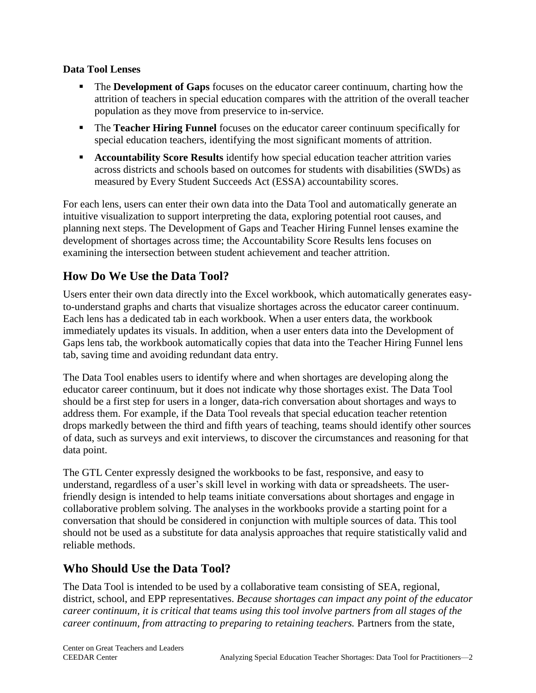#### **Data Tool Lenses**

- The **Development of Gaps** focuses on the educator career continuum, charting how the attrition of teachers in special education compares with the attrition of the overall teacher population as they move from preservice to in-service.
- The **Teacher Hiring Funnel** focuses on the educator career continuum specifically for special education teachers, identifying the most significant moments of attrition.
- **EXECOUNTER IS Accountability Score Results** identify how special education teacher attrition varies across districts and schools based on outcomes for students with disabilities (SWDs) as measured by Every Student Succeeds Act (ESSA) accountability scores.

For each lens, users can enter their own data into the Data Tool and automatically generate an intuitive visualization to support interpreting the data, exploring potential root causes, and planning next steps. The Development of Gaps and Teacher Hiring Funnel lenses examine the development of shortages across time; the Accountability Score Results lens focuses on examining the intersection between student achievement and teacher attrition.

## **How Do We Use the Data Tool?**

Users enter their own data directly into the Excel workbook, which automatically generates easyto-understand graphs and charts that visualize shortages across the educator career continuum. Each lens has a dedicated tab in each workbook. When a user enters data, the workbook immediately updates its visuals. In addition, when a user enters data into the Development of Gaps lens tab, the workbook automatically copies that data into the Teacher Hiring Funnel lens tab, saving time and avoiding redundant data entry.

The Data Tool enables users to identify where and when shortages are developing along the educator career continuum, but it does not indicate why those shortages exist. The Data Tool should be a first step for users in a longer, data-rich conversation about shortages and ways to address them. For example, if the Data Tool reveals that special education teacher retention drops markedly between the third and fifth years of teaching, teams should identify other sources of data, such as surveys and exit interviews, to discover the circumstances and reasoning for that data point.

The GTL Center expressly designed the workbooks to be fast, responsive, and easy to understand, regardless of a user's skill level in working with data or spreadsheets. The userfriendly design is intended to help teams initiate conversations about shortages and engage in collaborative problem solving. The analyses in the workbooks provide a starting point for a conversation that should be considered in conjunction with multiple sources of data. This tool should not be used as a substitute for data analysis approaches that require statistically valid and reliable methods.

### **Who Should Use the Data Tool?**

The Data Tool is intended to be used by a collaborative team consisting of SEA, regional, district, school, and EPP representatives. *Because shortages can impact any point of the educator career continuum, it is critical that teams using this tool involve partners from all stages of the career continuum, from attracting to preparing to retaining teachers.* Partners from the state,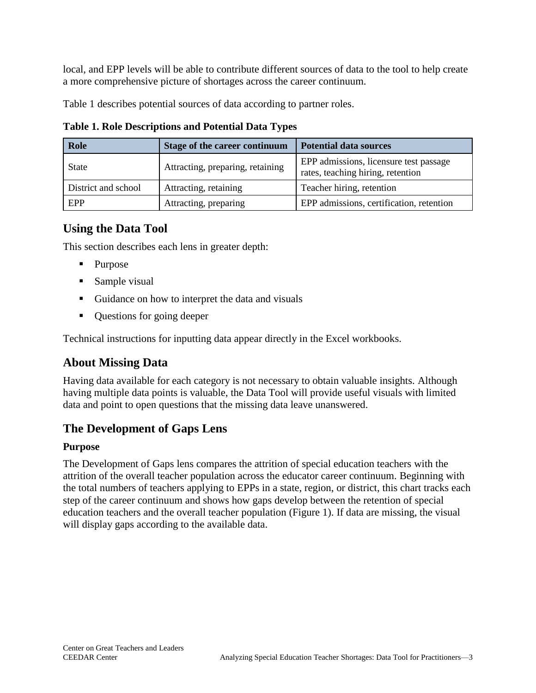local, and EPP levels will be able to contribute different sources of data to the tool to help create a more comprehensive picture of shortages across the career continuum.

Table 1 describes potential sources of data according to partner roles.

| <b>Role</b>         | <b>Stage of the career continuum</b> | <b>Potential data sources</b>                                               |
|---------------------|--------------------------------------|-----------------------------------------------------------------------------|
| <b>State</b>        | Attracting, preparing, retaining     | EPP admissions, licensure test passage<br>rates, teaching hiring, retention |
| District and school | Attracting, retaining                | Teacher hiring, retention                                                   |
| EPP                 | Attracting, preparing                | EPP admissions, certification, retention                                    |

**Table 1. Role Descriptions and Potential Data Types**

## **Using the Data Tool**

This section describes each lens in greater depth:

- Purpose
- Sample visual
- Guidance on how to interpret the data and visuals
- Questions for going deeper

Technical instructions for inputting data appear directly in the Excel workbooks.

## **About Missing Data**

Having data available for each category is not necessary to obtain valuable insights. Although having multiple data points is valuable, the Data Tool will provide useful visuals with limited data and point to open questions that the missing data leave unanswered.

## **The Development of Gaps Lens**

#### **Purpose**

The Development of Gaps lens compares the attrition of special education teachers with the attrition of the overall teacher population across the educator career continuum. Beginning with the total numbers of teachers applying to EPPs in a state, region, or district, this chart tracks each step of the career continuum and shows how gaps develop between the retention of special education teachers and the overall teacher population (Figure 1). If data are missing, the visual will display gaps according to the available data.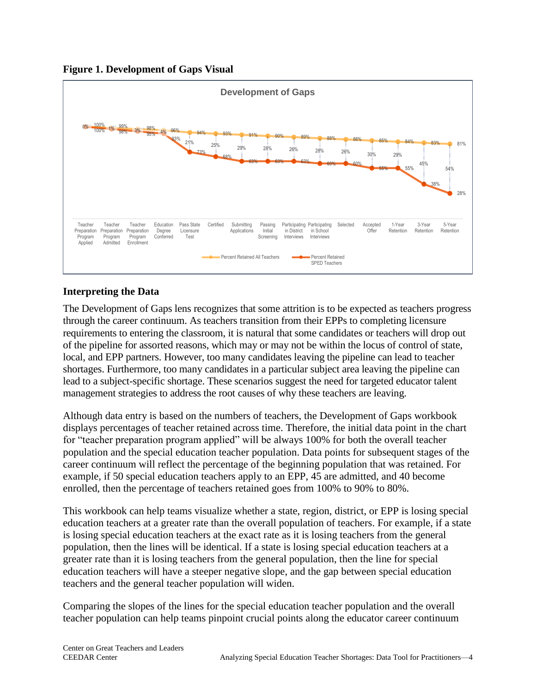



#### **Interpreting the Data**

The Development of Gaps lens recognizes that some attrition is to be expected as teachers progress through the career continuum. As teachers transition from their EPPs to completing licensure requirements to entering the classroom, it is natural that some candidates or teachers will drop out of the pipeline for assorted reasons, which may or may not be within the locus of control of state, local, and EPP partners. However, too many candidates leaving the pipeline can lead to teacher shortages. Furthermore, too many candidates in a particular subject area leaving the pipeline can lead to a subject-specific shortage. These scenarios suggest the need for targeted educator talent management strategies to address the root causes of why these teachers are leaving.

Although data entry is based on the numbers of teachers, the Development of Gaps workbook displays percentages of teacher retained across time. Therefore, the initial data point in the chart for "teacher preparation program applied" will be always 100% for both the overall teacher population and the special education teacher population. Data points for subsequent stages of the career continuum will reflect the percentage of the beginning population that was retained. For example, if 50 special education teachers apply to an EPP, 45 are admitted, and 40 become enrolled, then the percentage of teachers retained goes from 100% to 90% to 80%.

This workbook can help teams visualize whether a state, region, district, or EPP is losing special education teachers at a greater rate than the overall population of teachers. For example, if a state is losing special education teachers at the exact rate as it is losing teachers from the general population, then the lines will be identical. If a state is losing special education teachers at a greater rate than it is losing teachers from the general population, then the line for special education teachers will have a steeper negative slope, and the gap between special education teachers and the general teacher population will widen.

Comparing the slopes of the lines for the special education teacher population and the overall teacher population can help teams pinpoint crucial points along the educator career continuum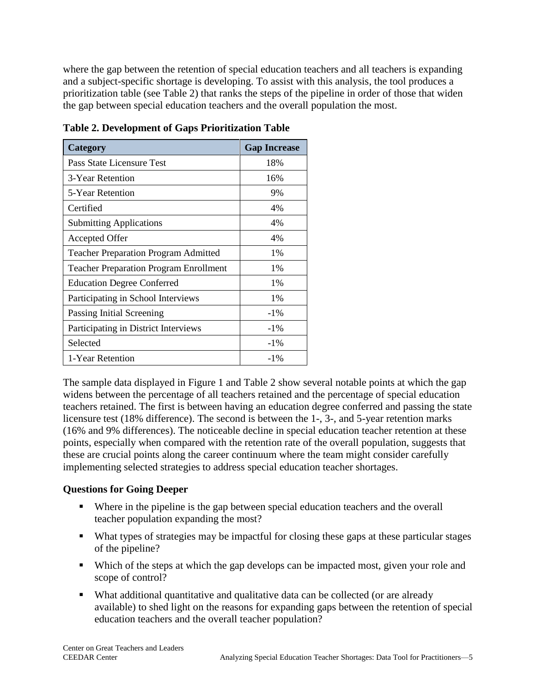where the gap between the retention of special education teachers and all teachers is expanding and a subject-specific shortage is developing. To assist with this analysis, the tool produces a prioritization table (see Table 2) that ranks the steps of the pipeline in order of those that widen the gap between special education teachers and the overall population the most.

| Category                                      | <b>Gap Increase</b> |
|-----------------------------------------------|---------------------|
| Pass State Licensure Test                     | 18%                 |
| 3-Year Retention                              | 16%                 |
| 5-Year Retention                              | 9%                  |
| Certified                                     | 4%                  |
| <b>Submitting Applications</b>                | 4%                  |
| <b>Accepted Offer</b>                         | 4%                  |
| <b>Teacher Preparation Program Admitted</b>   | 1%                  |
| <b>Teacher Preparation Program Enrollment</b> | 1%                  |
| <b>Education Degree Conferred</b>             | 1%                  |
| Participating in School Interviews            | 1%                  |
| Passing Initial Screening                     | $-1\%$              |
| Participating in District Interviews          | $-1\%$              |
| Selected                                      | $-1\%$              |
| 1-Year Retention                              | $-1\%$              |

**Table 2. Development of Gaps Prioritization Table** 

The sample data displayed in Figure 1 and Table 2 show several notable points at which the gap widens between the percentage of all teachers retained and the percentage of special education teachers retained. The first is between having an education degree conferred and passing the state licensure test (18% difference). The second is between the 1-, 3-, and 5-year retention marks (16% and 9% differences). The noticeable decline in special education teacher retention at these points, especially when compared with the retention rate of the overall population, suggests that these are crucial points along the career continuum where the team might consider carefully implementing selected strategies to address special education teacher shortages.

#### **Questions for Going Deeper**

- Where in the pipeline is the gap between special education teachers and the overall teacher population expanding the most?
- What types of strategies may be impactful for closing these gaps at these particular stages of the pipeline?
- Which of the steps at which the gap develops can be impacted most, given your role and scope of control?
- What additional quantitative and qualitative data can be collected (or are already available) to shed light on the reasons for expanding gaps between the retention of special education teachers and the overall teacher population?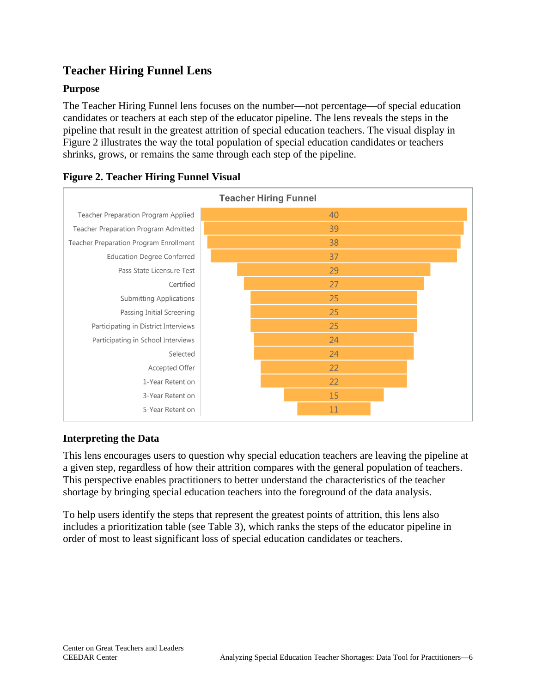## **Teacher Hiring Funnel Lens**

#### **Purpose**

The Teacher Hiring Funnel lens focuses on the number—not percentage—of special education candidates or teachers at each step of the educator pipeline. The lens reveals the steps in the pipeline that result in the greatest attrition of special education teachers. The visual display in Figure 2 illustrates the way the total population of special education candidates or teachers shrinks, grows, or remains the same through each step of the pipeline.



#### **Figure 2. Teacher Hiring Funnel Visual**

#### **Interpreting the Data**

This lens encourages users to question why special education teachers are leaving the pipeline at a given step, regardless of how their attrition compares with the general population of teachers. This perspective enables practitioners to better understand the characteristics of the teacher shortage by bringing special education teachers into the foreground of the data analysis.

To help users identify the steps that represent the greatest points of attrition, this lens also includes a prioritization table (see Table 3), which ranks the steps of the educator pipeline in order of most to least significant loss of special education candidates or teachers.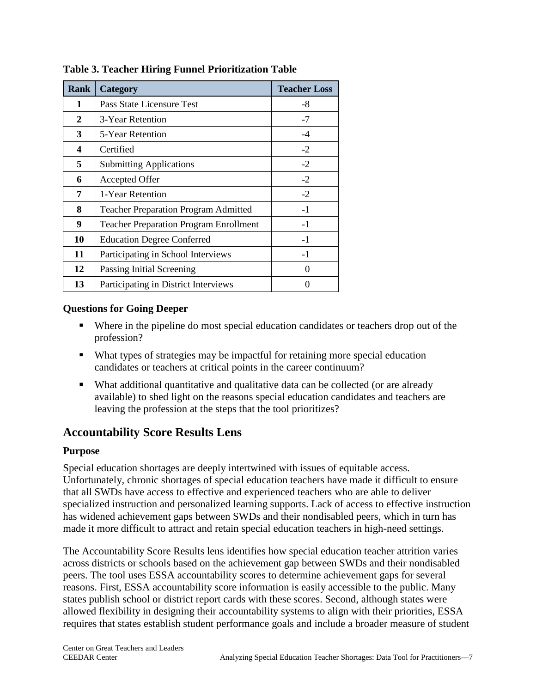| <b>Rank</b> | Category                                      | <b>Teacher Loss</b> |
|-------------|-----------------------------------------------|---------------------|
| 1           | Pass State Licensure Test                     | $-8$                |
| 2           | 3-Year Retention                              | $-7$                |
| 3           | 5-Year Retention                              | $-4$                |
| 4           | Certified                                     | $-2$                |
| 5           | <b>Submitting Applications</b>                | $-2$                |
| 6           | Accepted Offer                                | $-2$                |
| 7           | 1-Year Retention                              | $-2$                |
| 8           | <b>Teacher Preparation Program Admitted</b>   | $-1$                |
| 9           | <b>Teacher Preparation Program Enrollment</b> | $-1$                |
| 10          | <b>Education Degree Conferred</b>             | $-1$                |
| 11          | Participating in School Interviews            | $-1$                |
| 12          | Passing Initial Screening                     | 0                   |
| 13          | Participating in District Interviews          | 0                   |

**Table 3. Teacher Hiring Funnel Prioritization Table** 

#### **Questions for Going Deeper**

- Where in the pipeline do most special education candidates or teachers drop out of the profession?
- What types of strategies may be impactful for retaining more special education candidates or teachers at critical points in the career continuum?
- What additional quantitative and qualitative data can be collected (or are already available) to shed light on the reasons special education candidates and teachers are leaving the profession at the steps that the tool prioritizes?

## **Accountability Score Results Lens**

#### **Purpose**

Special education shortages are deeply intertwined with issues of equitable access. Unfortunately, chronic shortages of special education teachers have made it difficult to ensure that all SWDs have access to effective and experienced teachers who are able to deliver specialized instruction and personalized learning supports. Lack of access to effective instruction has widened achievement gaps between SWDs and their nondisabled peers, which in turn has made it more difficult to attract and retain special education teachers in high-need settings.

The Accountability Score Results lens identifies how special education teacher attrition varies across districts or schools based on the achievement gap between SWDs and their nondisabled peers. The tool uses ESSA accountability scores to determine achievement gaps for several reasons. First, ESSA accountability score information is easily accessible to the public. Many states publish school or district report cards with these scores. Second, although states were allowed flexibility in designing their accountability systems to align with their priorities, ESSA requires that states establish student performance goals and include a broader measure of student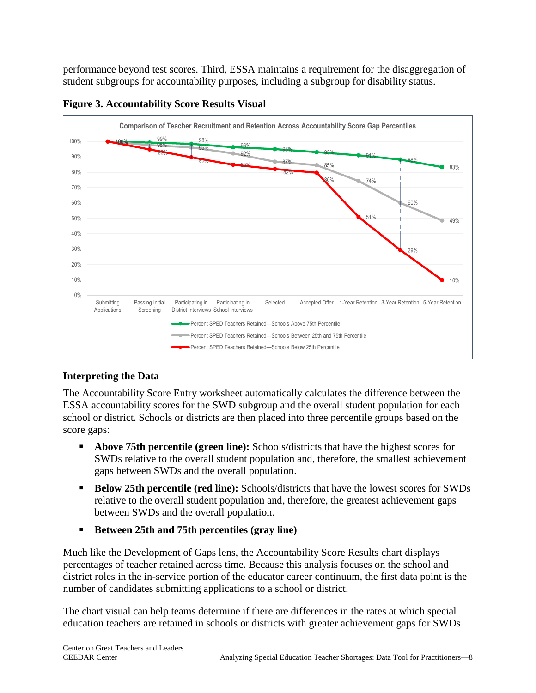performance beyond test scores. Third, ESSA maintains a requirement for the disaggregation of student subgroups for accountability purposes, including a subgroup for disability status.



**Figure 3. Accountability Score Results Visual**

#### **Interpreting the Data**

The Accountability Score Entry worksheet automatically calculates the difference between the ESSA accountability scores for the SWD subgroup and the overall student population for each school or district. Schools or districts are then placed into three percentile groups based on the score gaps:

- **Above 75th percentile (green line):** Schools/districts that have the highest scores for SWDs relative to the overall student population and, therefore, the smallest achievement gaps between SWDs and the overall population.
- **Below 25th percentile (red line):** Schools/districts that have the lowest scores for SWDs relative to the overall student population and, therefore, the greatest achievement gaps between SWDs and the overall population.
- **Between 25th and 75th percentiles (gray line)**

Much like the Development of Gaps lens, the Accountability Score Results chart displays percentages of teacher retained across time. Because this analysis focuses on the school and district roles in the in-service portion of the educator career continuum, the first data point is the number of candidates submitting applications to a school or district.

The chart visual can help teams determine if there are differences in the rates at which special education teachers are retained in schools or districts with greater achievement gaps for SWDs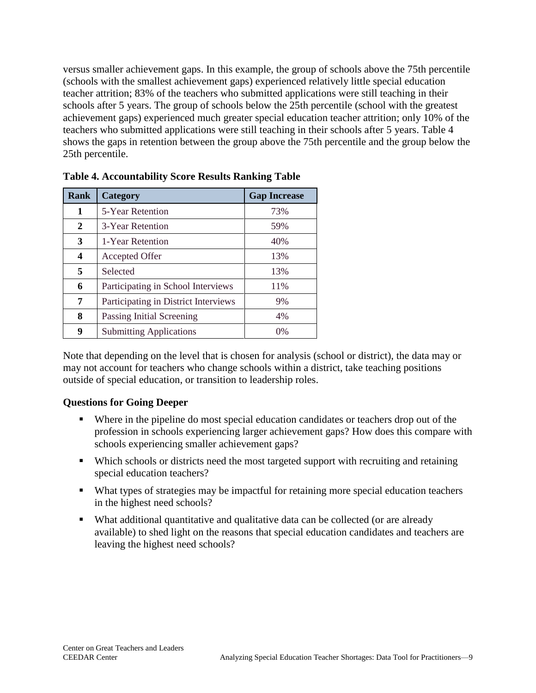versus smaller achievement gaps. In this example, the group of schools above the 75th percentile (schools with the smallest achievement gaps) experienced relatively little special education teacher attrition; 83% of the teachers who submitted applications were still teaching in their schools after 5 years. The group of schools below the 25th percentile (school with the greatest achievement gaps) experienced much greater special education teacher attrition; only 10% of the teachers who submitted applications were still teaching in their schools after 5 years. Table 4 shows the gaps in retention between the group above the 75th percentile and the group below the 25th percentile.

| <b>Rank</b> | Category                             | <b>Gap Increase</b> |
|-------------|--------------------------------------|---------------------|
| 1           | 5-Year Retention                     | 73%                 |
| 2           | 3-Year Retention                     | 59%                 |
| 3           | 1-Year Retention                     | 40%                 |
| 4           | Accepted Offer                       | 13%                 |
| 5           | Selected                             | 13%                 |
| 6           | Participating in School Interviews   | 11%                 |
| 7           | Participating in District Interviews | 9%                  |
| 8           | Passing Initial Screening            | 4%                  |
| 9           | <b>Submitting Applications</b>       | 0%                  |

**Table 4. Accountability Score Results Ranking Table** 

Note that depending on the level that is chosen for analysis (school or district), the data may or may not account for teachers who change schools within a district, take teaching positions outside of special education, or transition to leadership roles.

#### **Questions for Going Deeper**

- Where in the pipeline do most special education candidates or teachers drop out of the profession in schools experiencing larger achievement gaps? How does this compare with schools experiencing smaller achievement gaps?
- Which schools or districts need the most targeted support with recruiting and retaining special education teachers?
- What types of strategies may be impactful for retaining more special education teachers in the highest need schools?
- What additional quantitative and qualitative data can be collected (or are already available) to shed light on the reasons that special education candidates and teachers are leaving the highest need schools?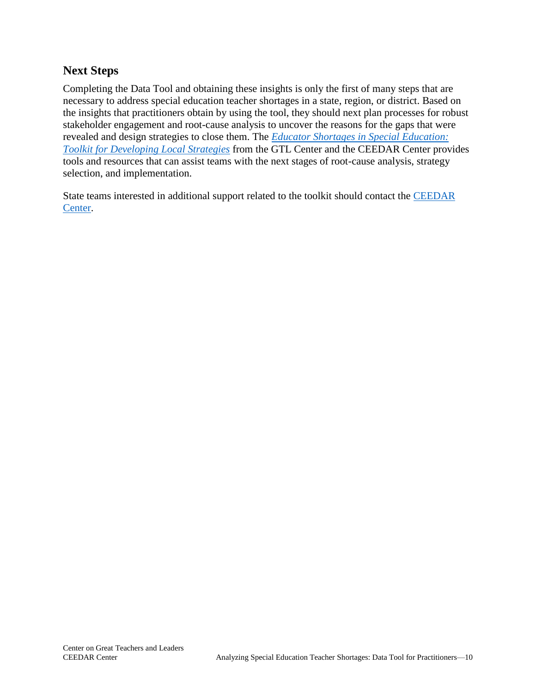## **Next Steps**

Completing the Data Tool and obtaining these insights is only the first of many steps that are necessary to address special education teacher shortages in a state, region, or district. Based on the insights that practitioners obtain by using the tool, they should next plan processes for robust stakeholder engagement and root-cause analysis to uncover the reasons for the gaps that were revealed and design strategies to close them. The *[Educator Shortages in Special Education:](https://gtlcenter.org/technical-assistance/toolkits/educator-shortages-special-education)  [Toolkit for Developing Local Strategies](https://gtlcenter.org/technical-assistance/toolkits/educator-shortages-special-education)* from the GTL Center and the CEEDAR Center provides tools and resources that can assist teams with the next stages of root-cause analysis, strategy selection, and implementation.

State teams interested in additional support related to the toolkit should contact the CEEDAR [Center.](http://ceedar.education.ufl.edu/contact/)